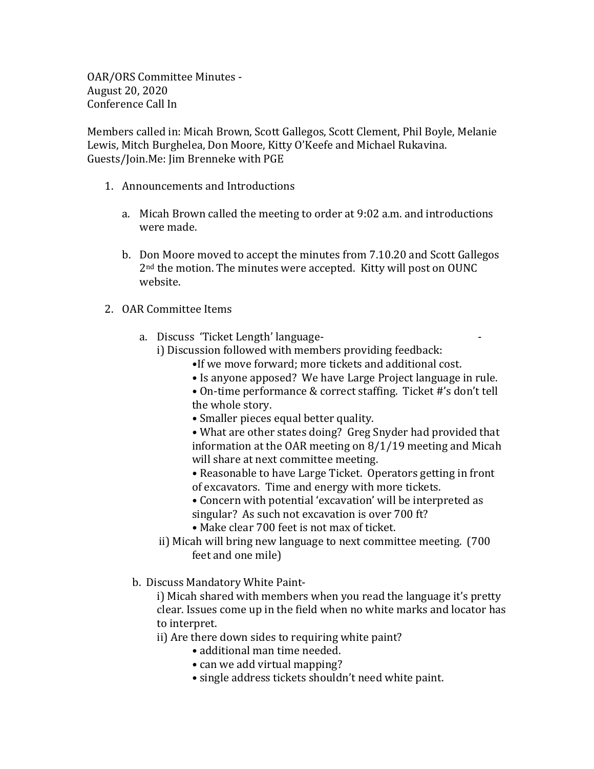OAR/ORS Committee Minutes -August 20, 2020 Conference Call In

Members called in: Micah Brown, Scott Gallegos, Scott Clement, Phil Boyle, Melanie Lewis, Mitch Burghelea, Don Moore, Kitty O'Keefe and Michael Rukavina. Guests/Join.Me: Jim Brenneke with PGE

- 1. Announcements and Introductions
	- a. Micah Brown called the meeting to order at 9:02 a.m. and introductions were made.
	- b. Don Moore moved to accept the minutes from 7.10.20 and Scott Gallegos  $2<sup>nd</sup>$  the motion. The minutes were accepted. Kitty will post on OUNC website.
- 2. OAR Committee Items
	- a. Discuss 'Ticket Length' language
		- i) Discussion followed with members providing feedback:
			- •If we move forward: more tickets and additional cost.
			- Is anyone apposed? We have Large Project language in rule.

• On-time performance & correct staffing. Ticket #'s don't tell the whole story.

• Smaller pieces equal better quality.

• What are other states doing? Greg Snyder had provided that information at the OAR meeting on  $8/1/19$  meeting and Micah will share at next committee meeting.

- Reasonable to have Large Ticket. Operators getting in front of excavators. Time and energy with more tickets.
- Concern with potential 'excavation' will be interpreted as
- singular? As such not excavation is over 700 ft?
- Make clear 700 feet is not max of ticket.
- ii) Micah will bring new language to next committee meeting. (700) feet and one mile)
- b. Discuss Mandatory White Paint-

i) Micah shared with members when you read the language it's pretty clear. Issues come up in the field when no white marks and locator has to interpret.

- ii) Are there down sides to requiring white paint?
	- additional man time needed.
		- can we add virtual mapping?
		- single address tickets shouldn't need white paint.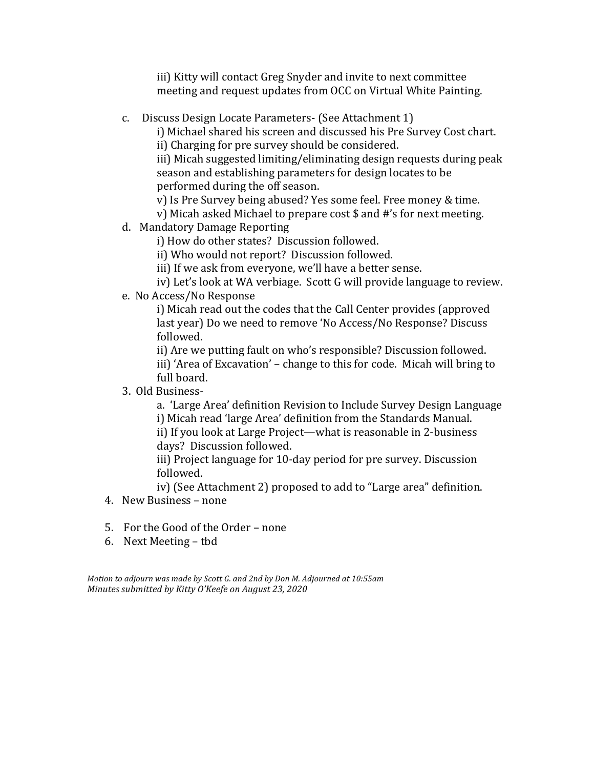iii) Kitty will contact Greg Snyder and invite to next committee meeting and request updates from OCC on Virtual White Painting.

- c. Discuss Design Locate Parameters- (See Attachment 1)
	- i) Michael shared his screen and discussed his Pre Survey Cost chart.

ii) Charging for pre survey should be considered.

iii) Micah suggested limiting/eliminating design requests during peak season and establishing parameters for design locates to be performed during the off season.

v) Is Pre Survey being abused? Yes some feel. Free money & time.

- v) Micah asked Michael to prepare cost  $\frac{1}{2}$  and  $\frac{1}{2}$ 's for next meeting.
- d. Mandatory Damage Reporting

i) How do other states? Discussion followed.

ii) Who would not report? Discussion followed.

iii) If we ask from everyone, we'll have a better sense.

iv) Let's look at WA verbiage. Scott G will provide language to review.

e. No Access/No Response

i) Micah read out the codes that the Call Center provides (approved last year) Do we need to remove 'No Access/No Response? Discuss followed.

ii) Are we putting fault on who's responsible? Discussion followed. iii) 'Area of Excavation' - change to this for code. Micah will bring to full board.

## 3. Old Business-

a. 'Large Area' definition Revision to Include Survey Design Language i) Micah read 'large Area' definition from the Standards Manual.

ii) If you look at Large Project—what is reasonable in 2-business days? Discussion followed.

iii) Project language for 10-day period for pre survey. Discussion followed.

iv) (See Attachment 2) proposed to add to "Large area" definition.

- 4. New Business none
- 5. For the Good of the Order none
- 6. Next Meeting tbd

*Motion to adjourn was made by Scott G. and 2nd by Don M. Adjourned at 10:55am Minutes submitted by Kitty O'Keefe on August 23, 2020*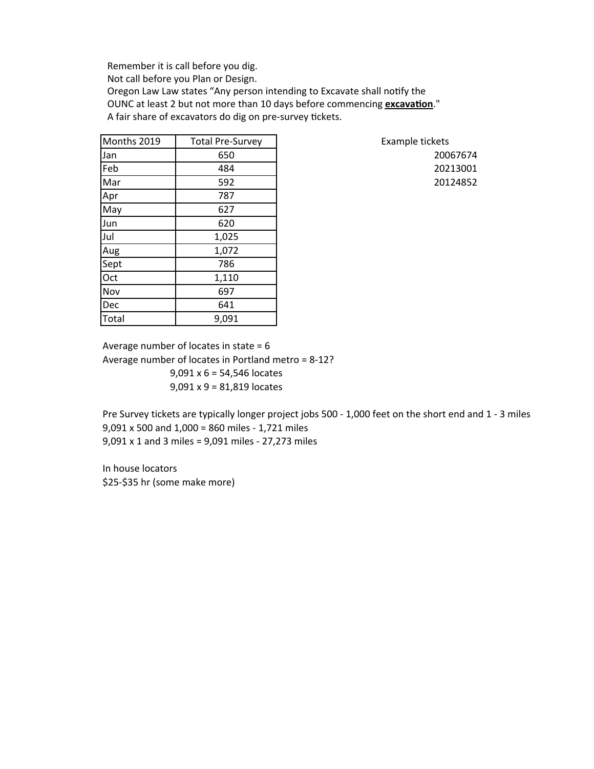Remember it is call before you dig. Not call before you Plan or Design. Oregon Law Law states "Any person intending to Excavate shall notify the OUNC at least 2 but not more than 10 days before commencing **excavation**." A fair share of excavators do dig on pre-survey tickets.

| Months 2019 | <b>Total Pre-Survey</b> | Example tickets |
|-------------|-------------------------|-----------------|
| Jan         | 650                     | 20067674        |
| Feb         | 484                     | 20213001        |
| Mar         | 592                     | 20124852        |
| Apr         | 787                     |                 |
| May         | 627                     |                 |
| Jun         | 620                     |                 |
| Jul         | 1,025                   |                 |
| Aug         | 1,072                   |                 |
| Sept        | 786                     |                 |
| Oct         | 1,110                   |                 |
| Nov         | 697                     |                 |
| Dec         | 641                     |                 |
| Total       | 9,091                   |                 |

Average number of locates in state  $= 6$ Average number of locates in Portland metro =  $8-12$ ?  $9,091 \times 6 = 54,546$  locates  $9,091 \times 9 = 81,819$  locates

Pre Survey tickets are typically longer project jobs 500 - 1,000 feet on the short end and 1 - 3 miles  $9,091 \times 500$  and  $1,000 = 860$  miles - 1,721 miles  $9,091 \times 1$  and 3 miles =  $9,091$  miles - 27,273 miles

In house locators \$25-\$35 hr (some make more)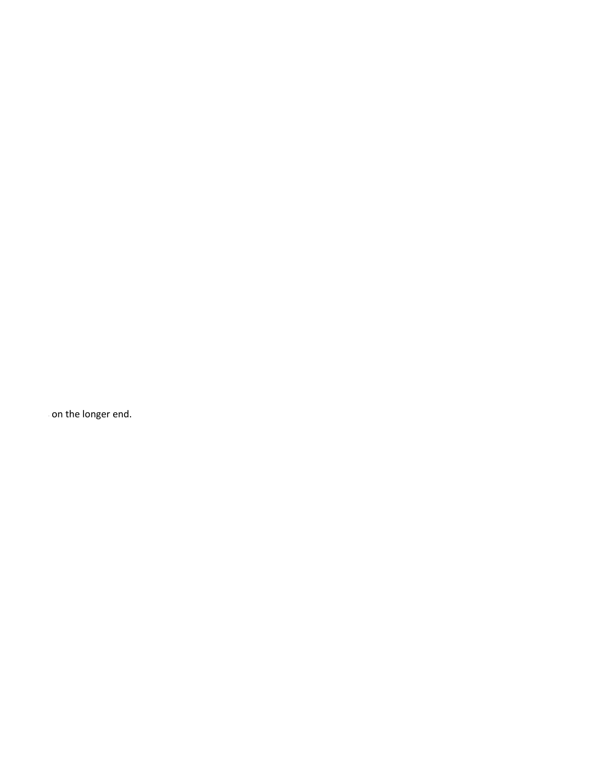on the longer end.